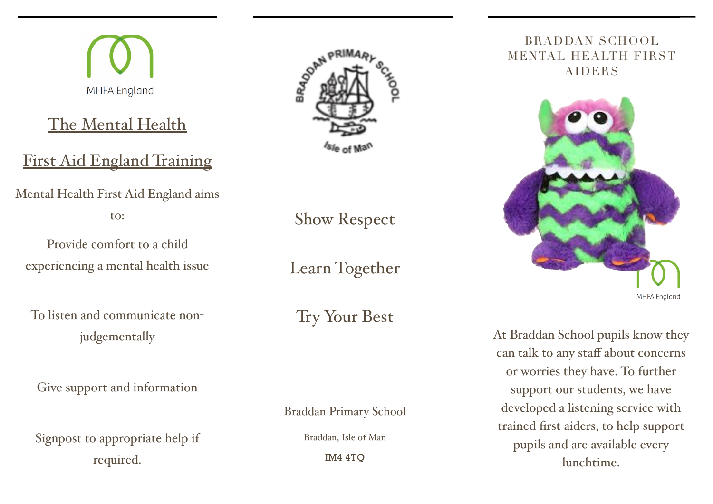The Mental Health First Aid England Training Mental Health First Aid England aims to:

MHFA England

Provide comfort to a child experiencing a mental health issue

To listen and communicate nonjudgementally

Give support and information

Signpost to appropriate help if required.



Show Respect

Learn Together

Try Your Best

Braddan Primary School

Braddan, Isle of Man

IM4 4TQ

## BRADDAN SCHOOL MENTAL HEALTH FIRST AIDERS



At Braddan School pupils know they can talk to any staff about concerns or worries they have. To further support our students, we have developed a listening service with trained first aiders, to help support pupils and are available every lunchtime.